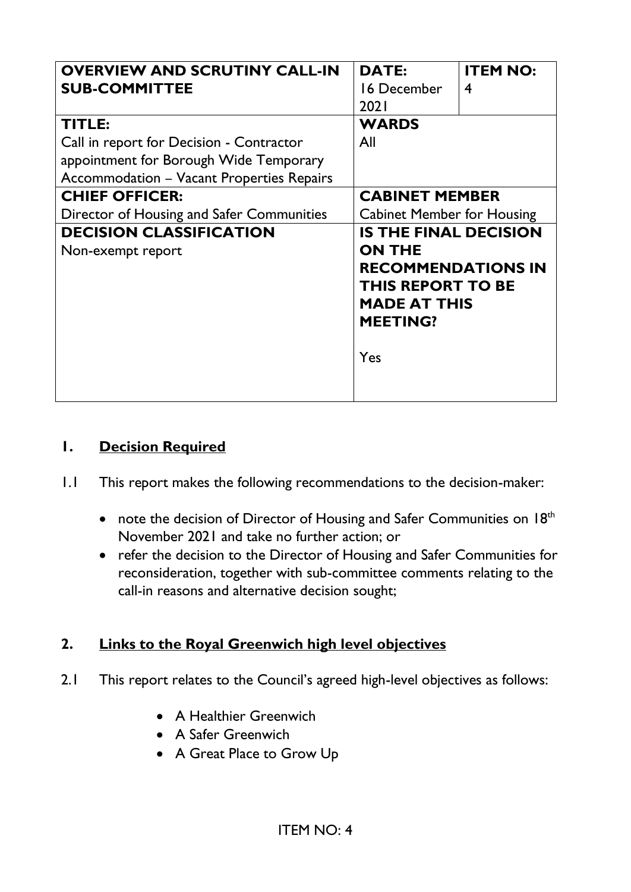| <b>OVERVIEW AND SCRUTINY CALL-IN</b><br><b>SUB-COMMITTEE</b>                                                                              | <b>DATE:</b><br>16 December<br>2021                                                                                                                     | <b>ITEM NO:</b><br>$\overline{4}$ |
|-------------------------------------------------------------------------------------------------------------------------------------------|---------------------------------------------------------------------------------------------------------------------------------------------------------|-----------------------------------|
| TITLE:<br>Call in report for Decision - Contractor<br>appointment for Borough Wide Temporary<br>Accommodation - Vacant Properties Repairs | <b>WARDS</b><br>All                                                                                                                                     |                                   |
| <b>CHIEF OFFICER:</b><br>Director of Housing and Safer Communities                                                                        | <b>CABINET MEMBER</b><br><b>Cabinet Member for Housing</b>                                                                                              |                                   |
| <b>DECISION CLASSIFICATION</b><br>Non-exempt report                                                                                       | <b>IS THE FINAL DECISION</b><br><b>ON THE</b><br><b>RECOMMENDATIONS IN</b><br><b>THIS REPORT TO BE</b><br><b>MADE AT THIS</b><br><b>MEETING?</b><br>Yes |                                   |

#### **1. Decision Required**

- 1.1 This report makes the following recommendations to the decision-maker:
	- note the decision of Director of Housing and Safer Communities on 18<sup>th</sup> November 2021 and take no further action; or
	- refer the decision to the Director of Housing and Safer Communities for reconsideration, together with sub-committee comments relating to the call-in reasons and alternative decision sought;

#### **2. Links to the Royal Greenwich high level objectives**

- 2.1 This report relates to the Council's agreed high-level objectives as follows:
	- A Healthier Greenwich
	- A Safer Greenwich
	- A Great Place to Grow Up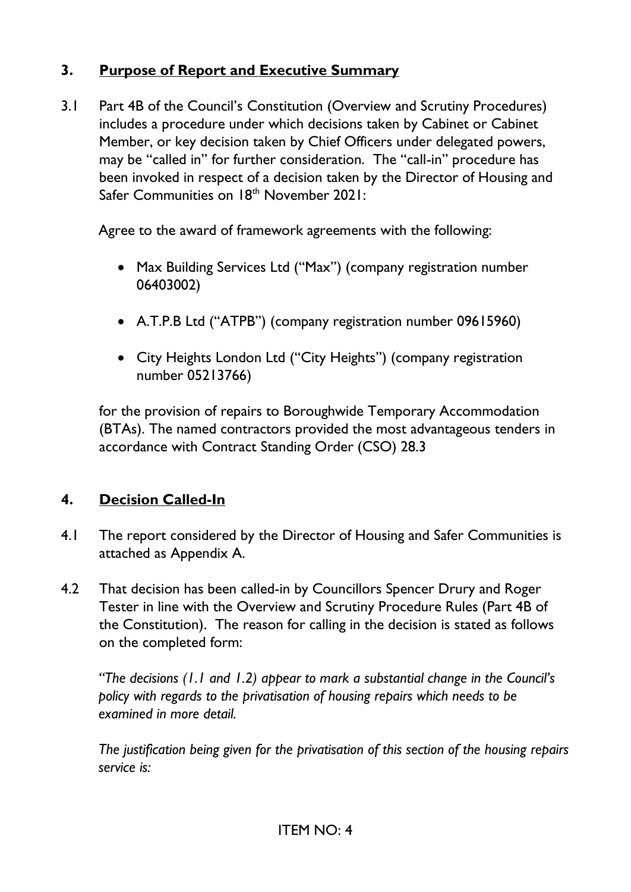## **3. Purpose of Report and Executive Summary**

3.1 Part 4B of the Council's Constitution (Overview and Scrutiny Procedures) includes a procedure under which decisions taken by Cabinet or Cabinet Member, or key decision taken by Chief Officers under delegated powers, may be "called in" for further consideration. The "call-in" procedure has been invoked in respect of a decision taken by the Director of Housing and Safer Communities on 18<sup>th</sup> November 2021:

Agree to the award of framework agreements with the following:

- Max Building Services Ltd ("Max") (company registration number 06403002)
- A.T.P.B Ltd ("ATPB") (company registration number 09615960)
- City Heights London Ltd ("City Heights") (company registration number 05213766)

 for the provision of repairs to Boroughwide Temporary Accommodation (BTAs). The named contractors provided the most advantageous tenders in accordance with Contract Standing Order (CSO) 28.3

#### **4. Decision Called-In**

- 4.1 The report considered by the Director of Housing and Safer Communities is attached as Appendix A.
- 4.2 That decision has been called-in by Councillors Spencer Drury and Roger Tester in line with the Overview and Scrutiny Procedure Rules (Part 4B of the Constitution). The reason for calling in the decision is stated as follows on the completed form:

*"The decisions (1.1 and 1.2) appear to mark a substantial change in the Council's policy with regards to the privatisation of housing repairs which needs to be examined in more detail.* 

*The justification being given for the privatisation of this section of the housing repairs service is:*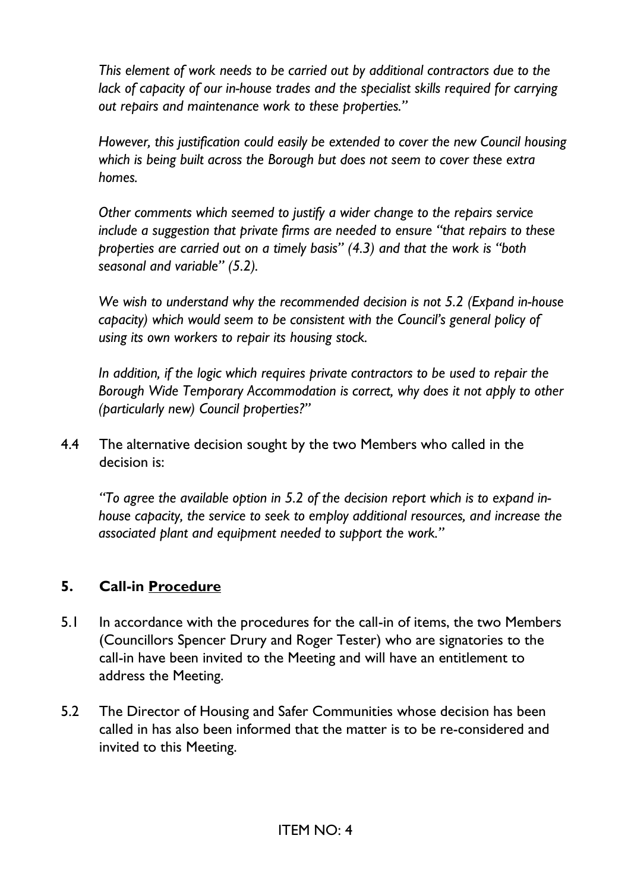*This element of work needs to be carried out by additional contractors due to the lack of capacity of our in-house trades and the specialist skills required for carrying out repairs and maintenance work to these properties."*

*However, this justification could easily be extended to cover the new Council housing which is being built across the Borough but does not seem to cover these extra homes.* 

*Other comments which seemed to justify a wider change to the repairs service include a suggestion that private firms are needed to ensure "that repairs to these properties are carried out on a timely basis" (4.3) and that the work is "both seasonal and variable" (5.2).* 

*We wish to understand why the recommended decision is not 5.2 (Expand in-house capacity) which would seem to be consistent with the Council's general policy of using its own workers to repair its housing stock.*

*In addition, if the logic which requires private contractors to be used to repair the Borough Wide Temporary Accommodation is correct, why does it not apply to other (particularly new) Council properties?"*

4.4 The alternative decision sought by the two Members who called in the decision is:

*"To agree the available option in 5.2 of the decision report which is to expand inhouse capacity, the service to seek to employ additional resources, and increase the associated plant and equipment needed to support the work."*

#### **5. Call-in Procedure**

- 5.1 In accordance with the procedures for the call-in of items, the two Members (Councillors Spencer Drury and Roger Tester) who are signatories to the call-in have been invited to the Meeting and will have an entitlement to address the Meeting.
- 5.2 The Director of Housing and Safer Communities whose decision has been called in has also been informed that the matter is to be re-considered and invited to this Meeting.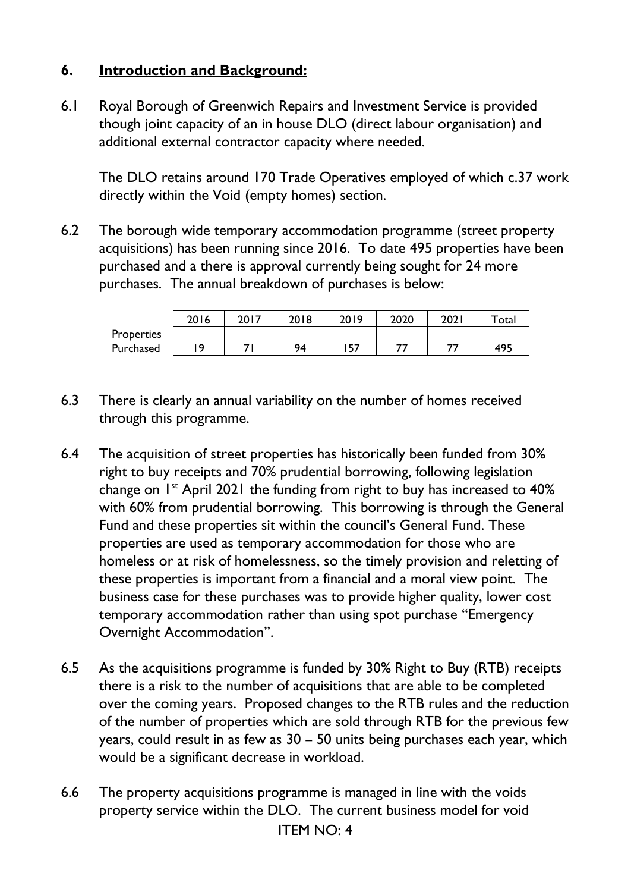#### **6. Introduction and Background:**

6.1 Royal Borough of Greenwich Repairs and Investment Service is provided though joint capacity of an in house DLO (direct labour organisation) and additional external contractor capacity where needed.

The DLO retains around 170 Trade Operatives employed of which c.37 work directly within the Void (empty homes) section.

6.2 The borough wide temporary accommodation programme (street property acquisitions) has been running since 2016. To date 495 properties have been purchased and a there is approval currently being sought for 24 more purchases. The annual breakdown of purchases is below:

|            | 2016 | 2017 | 2018 | 2019 | 2020 | 2021 | -otal |
|------------|------|------|------|------|------|------|-------|
| Properties |      |      |      |      |      |      |       |
| Purchased  | ه ۱  |      | 94   | 157  | 77   |      | 495   |

- 6.3 There is clearly an annual variability on the number of homes received through this programme.
- 6.4 The acquisition of street properties has historically been funded from 30% right to buy receipts and 70% prudential borrowing, following legislation change on  $1^{st}$  April 2021 the funding from right to buy has increased to 40% with 60% from prudential borrowing. This borrowing is through the General Fund and these properties sit within the council's General Fund. These properties are used as temporary accommodation for those who are homeless or at risk of homelessness, so the timely provision and reletting of these properties is important from a financial and a moral view point. The business case for these purchases was to provide higher quality, lower cost temporary accommodation rather than using spot purchase "Emergency Overnight Accommodation".
- 6.5 As the acquisitions programme is funded by 30% Right to Buy (RTB) receipts there is a risk to the number of acquisitions that are able to be completed over the coming years. Proposed changes to the RTB rules and the reduction of the number of properties which are sold through RTB for the previous few years, could result in as few as 30 – 50 units being purchases each year, which would be a significant decrease in workload.
- ITEM NO: 4 6.6 The property acquisitions programme is managed in line with the voids property service within the DLO. The current business model for void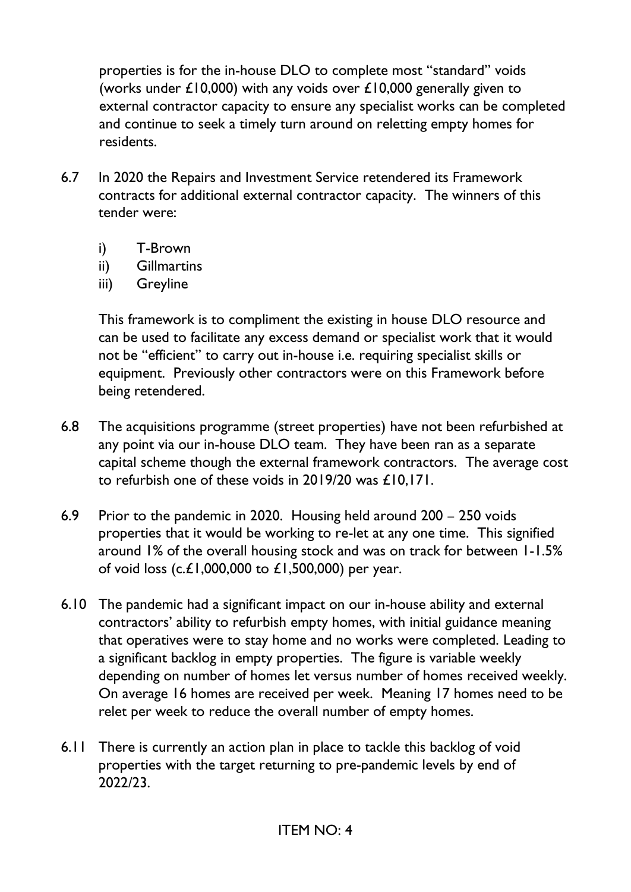properties is for the in-house DLO to complete most "standard" voids (works under £10,000) with any voids over £10,000 generally given to external contractor capacity to ensure any specialist works can be completed and continue to seek a timely turn around on reletting empty homes for residents.

- 6.7 In 2020 the Repairs and Investment Service retendered its Framework contracts for additional external contractor capacity. The winners of this tender were:
	- i) T-Brown
	- ii) Gillmartins
	- iii) Greyline

This framework is to compliment the existing in house DLO resource and can be used to facilitate any excess demand or specialist work that it would not be "efficient" to carry out in-house i.e. requiring specialist skills or equipment. Previously other contractors were on this Framework before being retendered.

- 6.8 The acquisitions programme (street properties) have not been refurbished at any point via our in-house DLO team. They have been ran as a separate capital scheme though the external framework contractors. The average cost to refurbish one of these voids in 2019/20 was £10,171.
- 6.9 Prior to the pandemic in 2020. Housing held around 200 250 voids properties that it would be working to re-let at any one time. This signified around 1% of the overall housing stock and was on track for between 1-1.5% of void loss  $(c.f.1,000,000)$  to  $f.1,500,000$  per year.
- 6.10 The pandemic had a significant impact on our in-house ability and external contractors' ability to refurbish empty homes, with initial guidance meaning that operatives were to stay home and no works were completed. Leading to a significant backlog in empty properties. The figure is variable weekly depending on number of homes let versus number of homes received weekly. On average 16 homes are received per week. Meaning 17 homes need to be relet per week to reduce the overall number of empty homes.
- 6.11 There is currently an action plan in place to tackle this backlog of void properties with the target returning to pre-pandemic levels by end of 2022/23.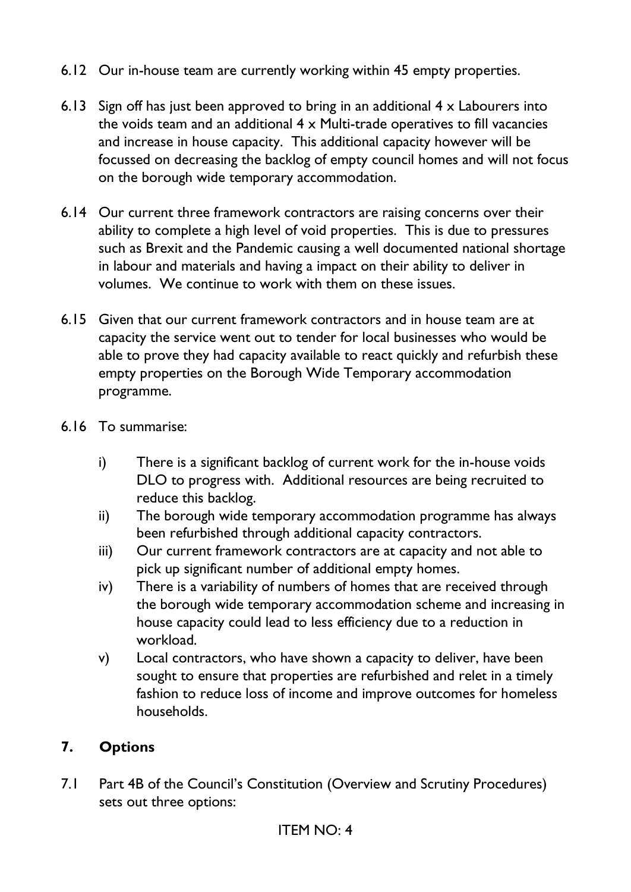- 6.12 Our in-house team are currently working within 45 empty properties.
- 6.13 Sign off has just been approved to bring in an additional  $4 \times$  Labourers into the voids team and an additional 4 x Multi-trade operatives to fill vacancies and increase in house capacity. This additional capacity however will be focussed on decreasing the backlog of empty council homes and will not focus on the borough wide temporary accommodation.
- 6.14 Our current three framework contractors are raising concerns over their ability to complete a high level of void properties. This is due to pressures such as Brexit and the Pandemic causing a well documented national shortage in labour and materials and having a impact on their ability to deliver in volumes. We continue to work with them on these issues.
- 6.15 Given that our current framework contractors and in house team are at capacity the service went out to tender for local businesses who would be able to prove they had capacity available to react quickly and refurbish these empty properties on the Borough Wide Temporary accommodation programme.
- 6.16 To summarise:
	- i) There is a significant backlog of current work for the in-house voids DLO to progress with. Additional resources are being recruited to reduce this backlog.
	- ii) The borough wide temporary accommodation programme has always been refurbished through additional capacity contractors.
	- iii) Our current framework contractors are at capacity and not able to pick up significant number of additional empty homes.
	- iv) There is a variability of numbers of homes that are received through the borough wide temporary accommodation scheme and increasing in house capacity could lead to less efficiency due to a reduction in workload.
	- v) Local contractors, who have shown a capacity to deliver, have been sought to ensure that properties are refurbished and relet in a timely fashion to reduce loss of income and improve outcomes for homeless households.

#### **7. Options**

7.1 Part 4B of the Council's Constitution (Overview and Scrutiny Procedures) sets out three options: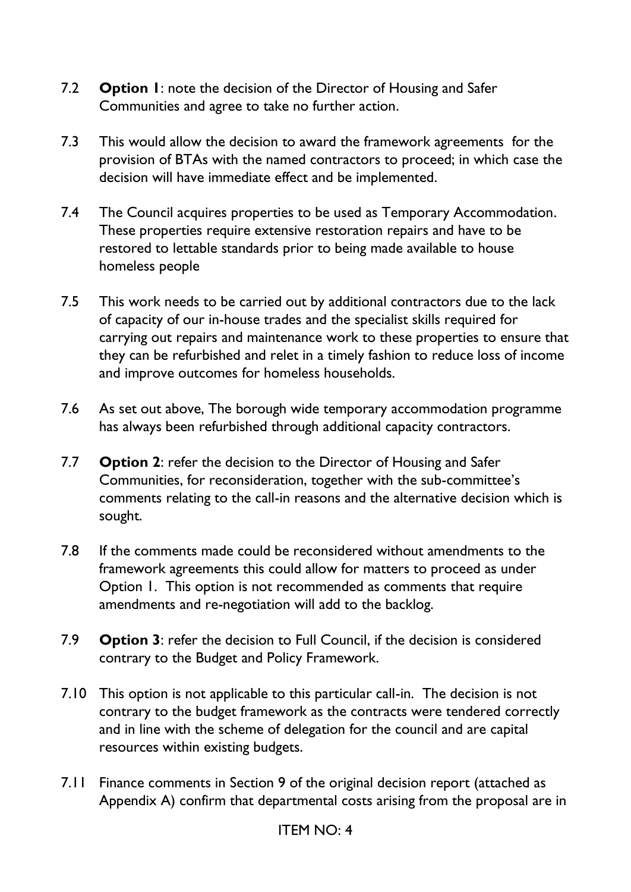- 7.2 **Option 1**: note the decision of the Director of Housing and Safer Communities and agree to take no further action.
- 7.3 This would allow the decision to award the framework agreements for the provision of BTAs with the named contractors to proceed; in which case the decision will have immediate effect and be implemented.
- 7.4 The Council acquires properties to be used as Temporary Accommodation. These properties require extensive restoration repairs and have to be restored to lettable standards prior to being made available to house homeless people
- 7.5 This work needs to be carried out by additional contractors due to the lack of capacity of our in-house trades and the specialist skills required for carrying out repairs and maintenance work to these properties to ensure that they can be refurbished and relet in a timely fashion to reduce loss of income and improve outcomes for homeless households.
- 7.6 As set out above, The borough wide temporary accommodation programme has always been refurbished through additional capacity contractors.
- 7.7 **Option 2**: refer the decision to the Director of Housing and Safer Communities, for reconsideration, together with the sub-committee's comments relating to the call-in reasons and the alternative decision which is sought.
- 7.8 If the comments made could be reconsidered without amendments to the framework agreements this could allow for matters to proceed as under Option 1. This option is not recommended as comments that require amendments and re-negotiation will add to the backlog.
- 7.9 **Option 3**: refer the decision to Full Council, if the decision is considered contrary to the Budget and Policy Framework.
- 7.10 This option is not applicable to this particular call-in. The decision is not contrary to the budget framework as the contracts were tendered correctly and in line with the scheme of delegation for the council and are capital resources within existing budgets.
- 7.11 Finance comments in Section 9 of the original decision report (attached as Appendix A) confirm that departmental costs arising from the proposal are in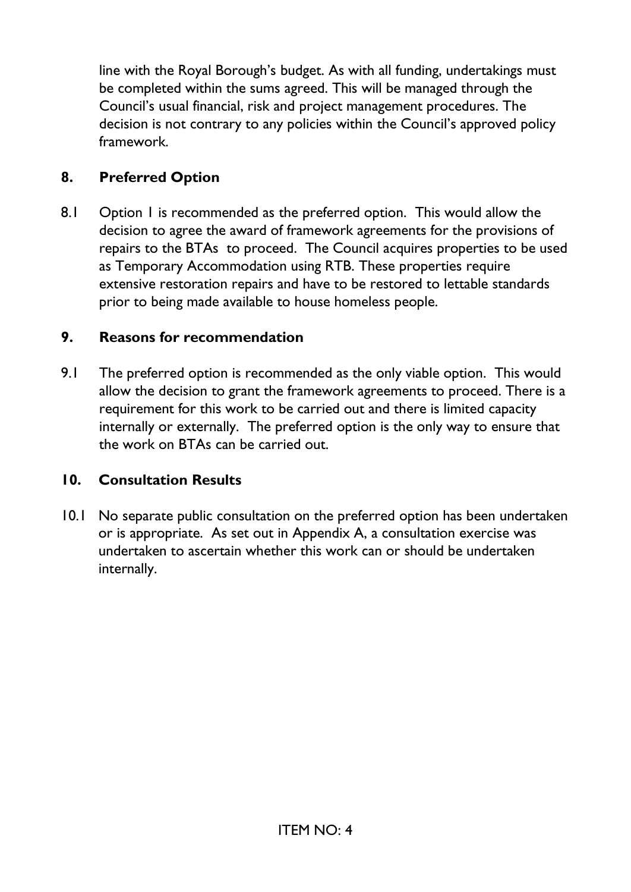line with the Royal Borough's budget. As with all funding, undertakings must be completed within the sums agreed. This will be managed through the Council's usual financial, risk and project management procedures. The decision is not contrary to any policies within the Council's approved policy framework.

## **8. Preferred Option**

8.1 Option 1 is recommended as the preferred option. This would allow the decision to agree the award of framework agreements for the provisions of repairs to the BTAs to proceed. The Council acquires properties to be used as Temporary Accommodation using RTB. These properties require extensive restoration repairs and have to be restored to lettable standards prior to being made available to house homeless people.

#### **9. Reasons for recommendation**

9.1 The preferred option is recommended as the only viable option. This would allow the decision to grant the framework agreements to proceed. There is a requirement for this work to be carried out and there is limited capacity internally or externally. The preferred option is the only way to ensure that the work on BTAs can be carried out.

#### **10. Consultation Results**

10.1 No separate public consultation on the preferred option has been undertaken or is appropriate. As set out in Appendix A, a consultation exercise was undertaken to ascertain whether this work can or should be undertaken internally.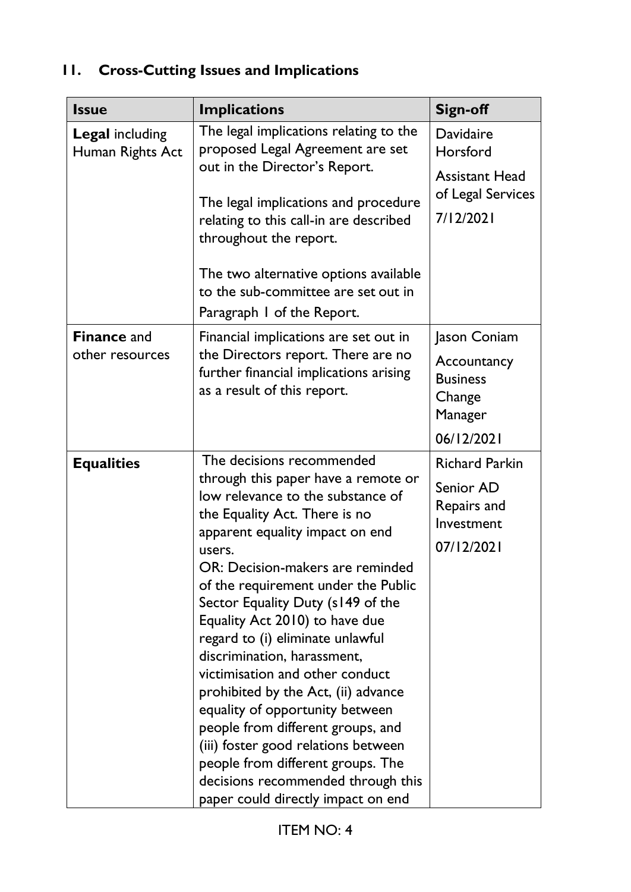# **11. Cross-Cutting Issues and Implications**

| <b>Issue</b>                               | <b>Implications</b>                                                                                                                                                                                                                                                                                                                                                                                                                                                                                                                                                                                                                                                                                                | <b>Sign-off</b>                                                                   |
|--------------------------------------------|--------------------------------------------------------------------------------------------------------------------------------------------------------------------------------------------------------------------------------------------------------------------------------------------------------------------------------------------------------------------------------------------------------------------------------------------------------------------------------------------------------------------------------------------------------------------------------------------------------------------------------------------------------------------------------------------------------------------|-----------------------------------------------------------------------------------|
| <b>Legal including</b><br>Human Rights Act | The legal implications relating to the<br>proposed Legal Agreement are set<br>out in the Director's Report.<br>The legal implications and procedure<br>relating to this call-in are described<br>throughout the report.<br>The two alternative options available<br>to the sub-committee are set out in<br>Paragraph 1 of the Report.                                                                                                                                                                                                                                                                                                                                                                              | Davidaire<br>Horsford<br><b>Assistant Head</b><br>of Legal Services<br>7/12/2021  |
| <b>Finance and</b><br>other resources      | Financial implications are set out in<br>the Directors report. There are no<br>further financial implications arising<br>as a result of this report.                                                                                                                                                                                                                                                                                                                                                                                                                                                                                                                                                               | Jason Coniam<br>Accountancy<br><b>Business</b><br>Change<br>Manager<br>06/12/2021 |
| <b>Equalities</b>                          | The decisions recommended<br>through this paper have a remote or<br>low relevance to the substance of<br>the Equality Act. There is no<br>apparent equality impact on end<br>users.<br>OR: Decision-makers are reminded<br>of the requirement under the Public<br>Sector Equality Duty (s149 of the<br>Equality Act 2010) to have due<br>regard to (i) eliminate unlawful<br>discrimination, harassment,<br>victimisation and other conduct<br>prohibited by the Act, (ii) advance<br>equality of opportunity between<br>people from different groups, and<br>(iii) foster good relations between<br>people from different groups. The<br>decisions recommended through this<br>paper could directly impact on end | <b>Richard Parkin</b><br>Senior AD<br>Repairs and<br>Investment<br>07/12/2021     |